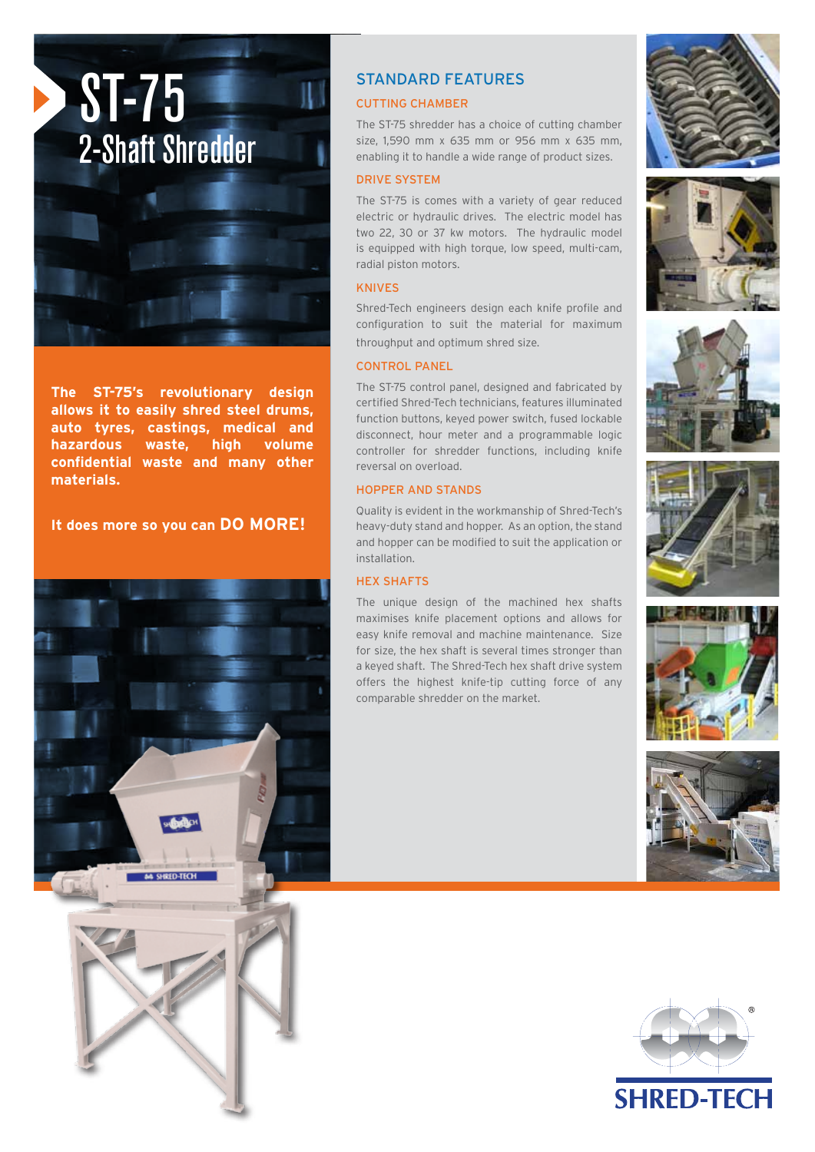

**The ST-75's revolutionary design allows it to easily shred steel drums, auto tyres, castings, medical and hazardous waste, high volume confidential waste and many other materials.** 

**It does more so you can DO MORE!**





# STANDARD FEATURES

# CUTTING CHAMBER

The ST-75 shredder has a choice of cutting chamber size, 1,590 mm x 635 mm or 956 mm x 635 mm, enabling it to handle a wide range of product sizes.

#### DRIVE SYSTEM

The ST-75 is comes with a variety of gear reduced electric or hydraulic drives. The electric model has two 22, 30 or 37 kw motors. The hydraulic model is equipped with high torque, low speed, multi-cam, radial piston motors.

## KNIVES

Shred-Tech engineers design each knife profile and configuration to suit the material for maximum throughput and optimum shred size.

### CONTROL PANEL

The ST-75 control panel, designed and fabricated by certified Shred-Tech technicians, features illuminated function buttons, keyed power switch, fused lockable disconnect, hour meter and a programmable logic controller for shredder functions, including knife reversal on overload.

#### HOPPER AND STANDS

Quality is evident in the workmanship of Shred-Tech's heavy-duty stand and hopper. As an option, the stand and hopper can be modified to suit the application or installation.

## HEX SHAFTS

The unique design of the machined hex shafts maximises knife placement options and allows for easy knife removal and machine maintenance. Size for size, the hex shaft is several times stronger than a keyed shaft. The Shred-Tech hex shaft drive system offers the highest knife-tip cutting force of any comparable shredder on the market.